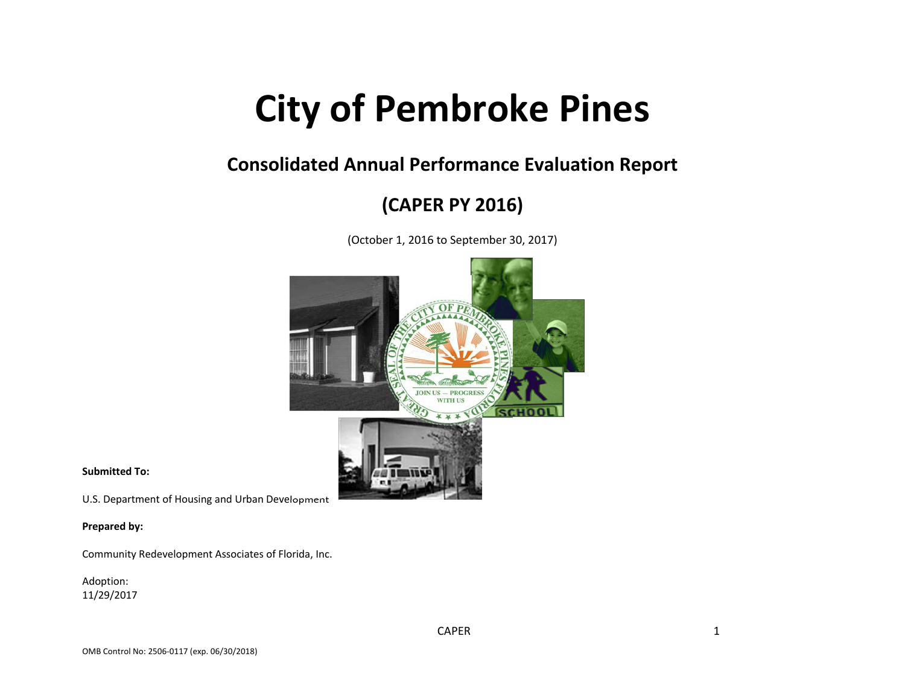# **City of Pembroke Pines**

## **Consolidated Annual Performance Evaluation Report**

# **(CAPER PY 2016)**

(October 1, 2016 to September 30, 2017)



**Submitted To:**

U.S. Department of Housing and Urban Development

**Prepared by:**

Community Redevelopment Associates of Florida, Inc.

Adoption: 11/29/2017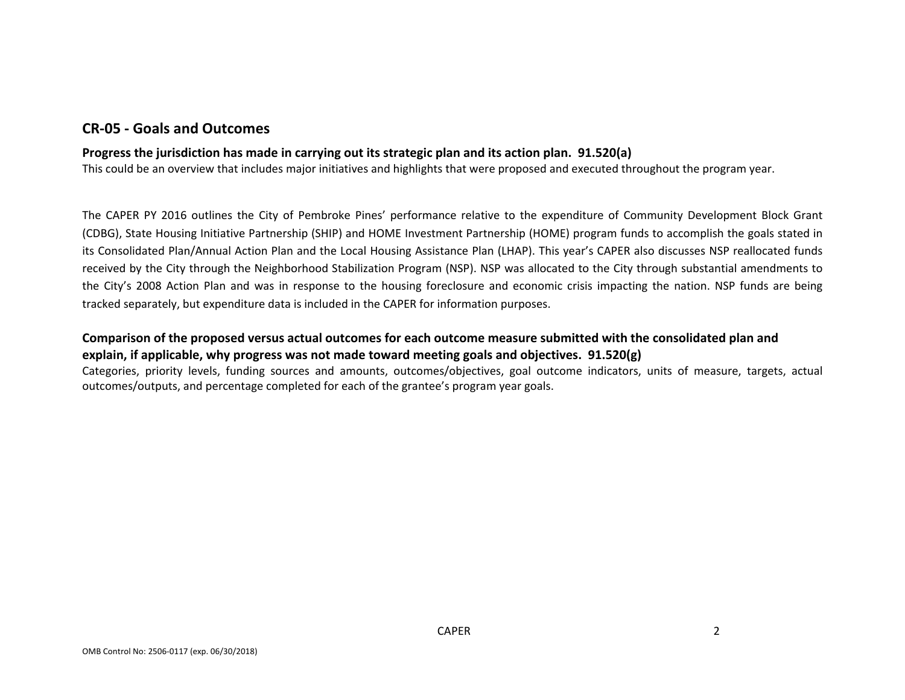### **CR‐05 ‐ Goals and Outcomes**

#### **Progress the jurisdiction has made in carrying out its strategic plan and its action plan. 91.520(a)**

This could be an overview that includes major initiatives and highlights that were proposed and executed throughout the program year.

The CAPER PY 2016 outlines the City of Pembroke Pines' performance relative to the expenditure of Community Development Block Grant (CDBG), State Housing Initiative Partnership (SHIP) and HOME Investment Partnership (HOME) program funds to accomplish the goals stated in its Consolidated Plan/Annual Action Plan and the Local Housing Assistance Plan (LHAP). This year's CAPER also discusses NSP reallocated funds received by the City through the Neighborhood Stabilization Program (NSP). NSP was allocated to the City through substantial amendments to the City's 2008 Action Plan and was in response to the housing foreclosure and economic crisis impacting the nation. NSP funds are being tracked separately, but expenditure data is included in the CAPER for information purposes.

#### Comparison of the proposed versus actual outcomes for each outcome measure submitted with the consolidated plan and **explain, if applicable, why progress was not made toward meeting goals and objectives. 91.520(g)**

Categories, priority levels, funding sources and amounts, outcomes/objectives, goal outcome indicators, units of measure, targets, actual outcomes/outputs, and percentage completed for each of the grantee's program year goals.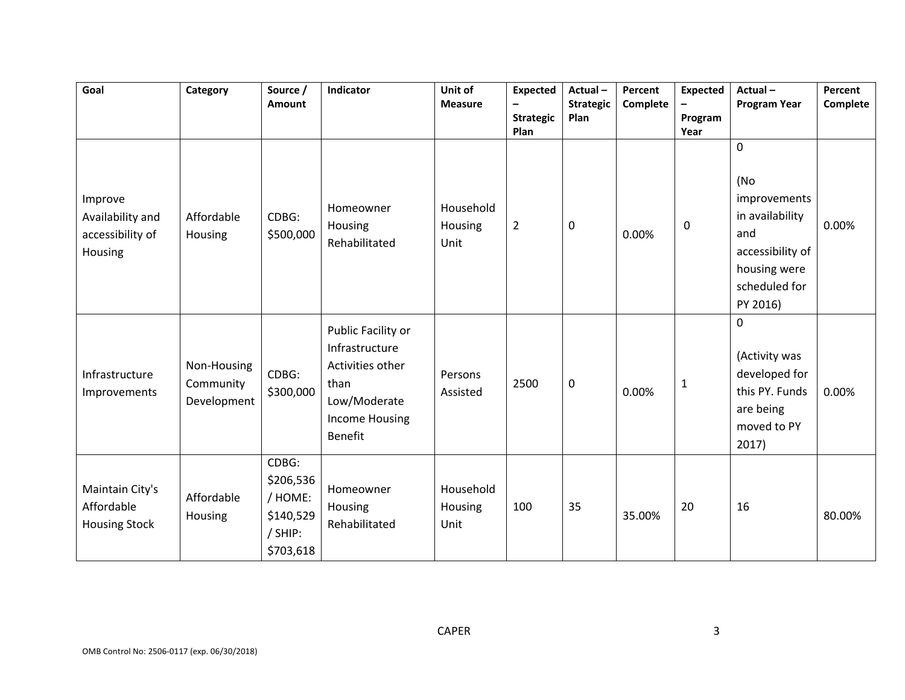| Goal                                                       | Category                                | Source /<br>Amount                                                 | Indicator                                                                                                                   | Unit of<br><b>Measure</b>    | <b>Expected</b><br>-<br><b>Strategic</b><br>Plan | Actual-<br><b>Strategic</b><br>Plan | Percent<br>Complete | <b>Expected</b><br>Program<br>Year | Actual-<br><b>Program Year</b>                                                                                                | Percent<br>Complete |
|------------------------------------------------------------|-----------------------------------------|--------------------------------------------------------------------|-----------------------------------------------------------------------------------------------------------------------------|------------------------------|--------------------------------------------------|-------------------------------------|---------------------|------------------------------------|-------------------------------------------------------------------------------------------------------------------------------|---------------------|
| Improve<br>Availability and<br>accessibility of<br>Housing | Affordable<br>Housing                   | CDBG:<br>\$500,000                                                 | Homeowner<br>Housing<br>Rehabilitated                                                                                       | Household<br>Housing<br>Unit | $\overline{2}$                                   | $\boldsymbol{0}$                    | 0.00%               | $\pmb{0}$                          | $\mathbf 0$<br>(No<br>improvements<br>in availability<br>and<br>accessibility of<br>housing were<br>scheduled for<br>PY 2016) | 0.00%               |
| Infrastructure<br>Improvements                             | Non-Housing<br>Community<br>Development | CDBG:<br>\$300,000                                                 | Public Facility or<br>Infrastructure<br>Activities other<br>than<br>Low/Moderate<br><b>Income Housing</b><br><b>Benefit</b> | Persons<br>Assisted          | 2500                                             | $\boldsymbol{0}$                    | 0.00%               | $\mathbf{1}$                       | $\mathbf 0$<br>(Activity was<br>developed for<br>this PY. Funds<br>are being<br>moved to PY<br>2017)                          | 0.00%               |
| Maintain City's<br>Affordable<br><b>Housing Stock</b>      | Affordable<br>Housing                   | CDBG:<br>\$206,536<br>/ HOME:<br>\$140,529<br>/ SHIP:<br>\$703,618 | Homeowner<br><b>Housing</b><br>Rehabilitated                                                                                | Household<br>Housing<br>Unit | 100                                              | 35                                  | 35.00%              | 20                                 | 16                                                                                                                            | 80.00%              |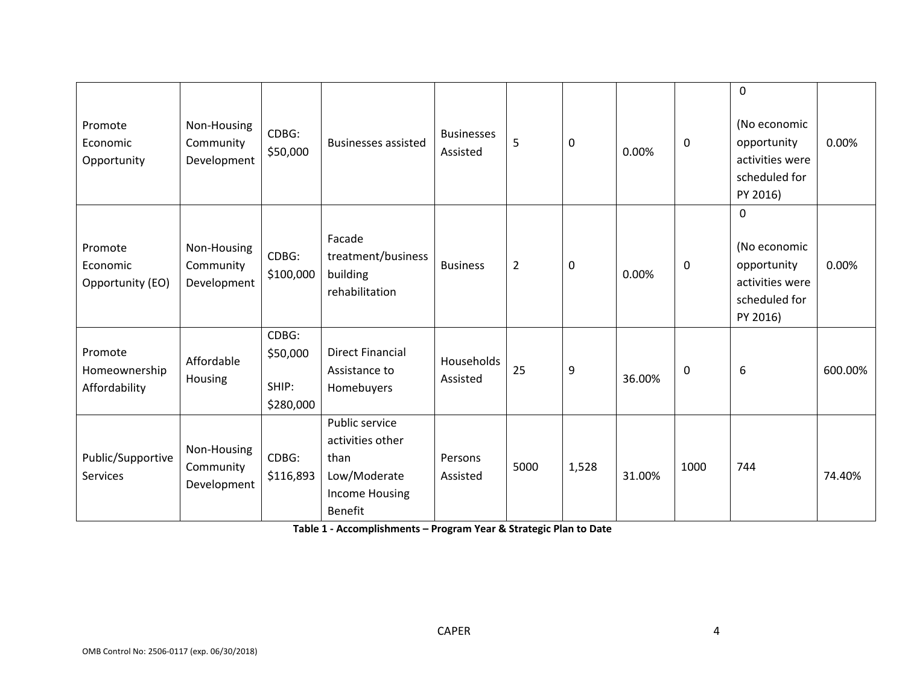| Promote<br>Economic<br>Opportunity        | Non-Housing<br>Community<br>Development | CDBG:<br>\$50,000                       | <b>Businesses assisted</b>                                                                     | <b>Businesses</b><br>Assisted | 5              | 0     | 0.00%  | $\mathbf 0$ | $\boldsymbol{0}$<br>(No economic<br>opportunity<br>activities were<br>scheduled for<br>PY 2016) | 0.00%   |
|-------------------------------------------|-----------------------------------------|-----------------------------------------|------------------------------------------------------------------------------------------------|-------------------------------|----------------|-------|--------|-------------|-------------------------------------------------------------------------------------------------|---------|
| Promote<br>Economic<br>Opportunity (EO)   | Non-Housing<br>Community<br>Development | CDBG:<br>\$100,000                      | Facade<br>treatment/business<br>building<br>rehabilitation                                     | <b>Business</b>               | $\overline{2}$ | 0     | 0.00%  | $\mathbf 0$ | $\mathbf 0$<br>(No economic<br>opportunity<br>activities were<br>scheduled for<br>PY 2016)      | 0.00%   |
| Promote<br>Homeownership<br>Affordability | Affordable<br>Housing                   | CDBG:<br>\$50,000<br>SHIP:<br>\$280,000 | <b>Direct Financial</b><br>Assistance to<br>Homebuyers                                         | Households<br>Assisted        | 25             | 9     | 36.00% | $\mathbf 0$ | 6                                                                                               | 600.00% |
| Public/Supportive<br>Services             | Non-Housing<br>Community<br>Development | CDBG:<br>\$116,893                      | Public service<br>activities other<br>than<br>Low/Moderate<br>Income Housing<br><b>Benefit</b> | Persons<br>Assisted           | 5000           | 1,528 | 31.00% | 1000        | 744                                                                                             | 74.40%  |

**Table 1 ‐ Accomplishments – Program Year & Strategic Plan to Date**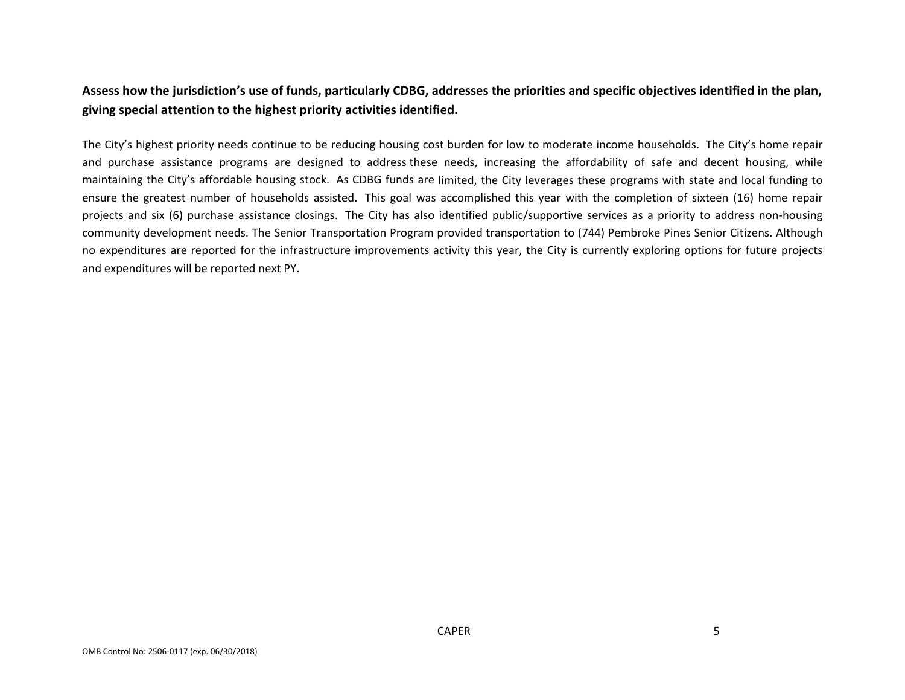## Assess how the jurisdiction's use of funds, particularly CDBG, addresses the priorities and specific objectives identified in the plan, **giving special attention to the highest priority activities identified.**

The City's highest priority needs continue to be reducing housing cost burden for low to moderate income households. The City's home repair and purchase assistance programs are designed to address these needs, increasing the affordability of safe and decent housing, while maintaining the City's affordable housing stock. As CDBG funds are limited, the City leverages these programs with state and local funding to ensure the greatest number of households assisted. This goal was accomplished this year with the completion of sixteen (16) home repair projects and six (6) purchase assistance closings. The City has also identified public/supportive services as a priority to address non-housing community development needs. The Senior Transportation Program provided transportation to (744) Pembroke Pines Senior Citizens. Although no expenditures are reported for the infrastructure improvements activity this year, the City is currently exploring options for future projects and expenditures will be reported next PY.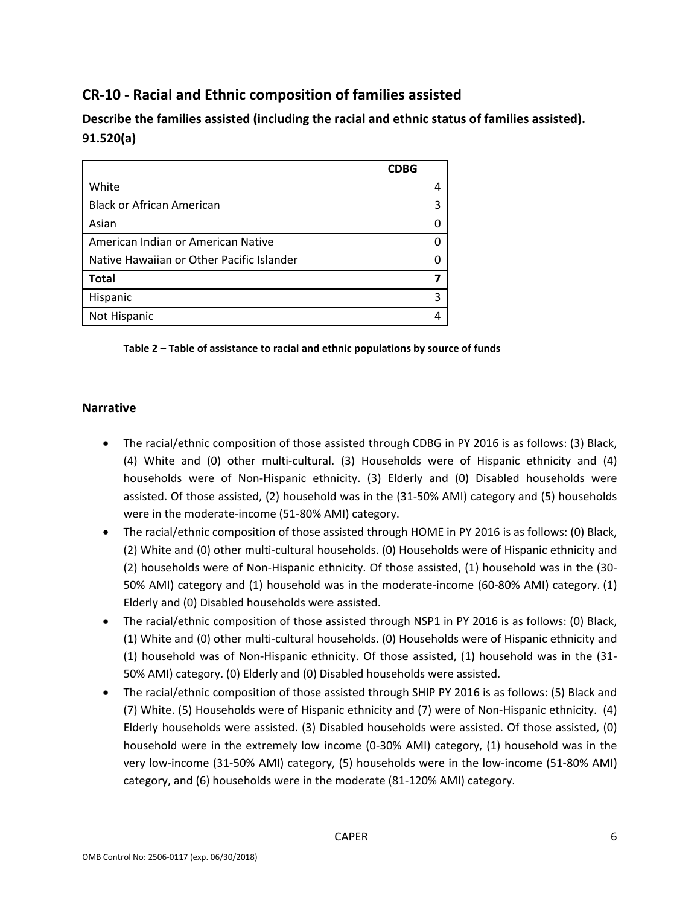## **CR‐10 ‐ Racial and Ethnic composition of families assisted**

**Describe the families assisted (including the racial and ethnic status of families assisted). 91.520(a)** 

|                                           | <b>CDBG</b> |
|-------------------------------------------|-------------|
| White                                     |             |
| <b>Black or African American</b>          | 3           |
| Asian                                     |             |
| American Indian or American Native        |             |
| Native Hawaiian or Other Pacific Islander |             |
| <b>Total</b>                              |             |
| Hispanic                                  | 3           |
| Not Hispanic                              |             |

#### **Table 2 – Table of assistance to racial and ethnic populations by source of funds**

#### **Narrative**

- The racial/ethnic composition of those assisted through CDBG in PY 2016 is as follows: (3) Black, (4) White and (0) other multi‐cultural. (3) Households were of Hispanic ethnicity and (4) households were of Non‐Hispanic ethnicity. (3) Elderly and (0) Disabled households were assisted. Of those assisted, (2) household was in the (31‐50% AMI) category and (5) households were in the moderate‐income (51‐80% AMI) category.
- The racial/ethnic composition of those assisted through HOME in PY 2016 is as follows: (0) Black, (2) White and (0) other multi‐cultural households. (0) Households were of Hispanic ethnicity and (2) households were of Non‐Hispanic ethnicity. Of those assisted, (1) household was in the (30‐ 50% AMI) category and (1) household was in the moderate-income (60-80% AMI) category. (1) Elderly and (0) Disabled households were assisted.
- The racial/ethnic composition of those assisted through NSP1 in PY 2016 is as follows: (0) Black, (1) White and (0) other multi‐cultural households. (0) Households were of Hispanic ethnicity and (1) household was of Non‐Hispanic ethnicity. Of those assisted, (1) household was in the (31‐ 50% AMI) category. (0) Elderly and (0) Disabled households were assisted.
- The racial/ethnic composition of those assisted through SHIP PY 2016 is as follows: (5) Black and (7) White. (5) Households were of Hispanic ethnicity and (7) were of Non‐Hispanic ethnicity. (4) Elderly households were assisted. (3) Disabled households were assisted. Of those assisted, (0) household were in the extremely low income (0-30% AMI) category, (1) household was in the very low‐income (31‐50% AMI) category, (5) households were in the low‐income (51‐80% AMI) category, and (6) households were in the moderate (81‐120% AMI) category.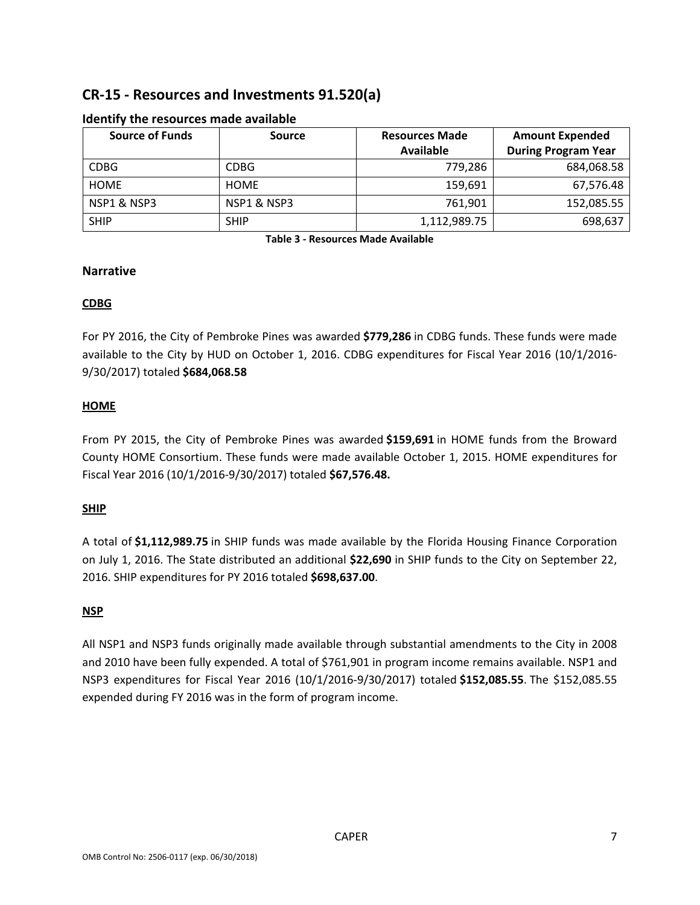## **CR‐15 ‐ Resources and Investments 91.520(a)**

| <b>Source of Funds</b> | Source      | <b>Resources Made</b> | <b>Amount Expended</b>     |  |
|------------------------|-------------|-----------------------|----------------------------|--|
|                        |             | Available             | <b>During Program Year</b> |  |
| <b>CDBG</b>            | <b>CDBG</b> | 779,286               | 684,068.58                 |  |
| <b>HOME</b>            | <b>HOME</b> | 159,691               | 67,576.48                  |  |
| NSP1 & NSP3            | NSP1 & NSP3 | 761,901               | 152,085.55                 |  |
| <b>SHIP</b>            | <b>SHIP</b> | 1,112,989.75          | 698,637                    |  |

#### **Identify the resources made available**

**Table 3 ‐ Resources Made Available**

#### **Narrative**

#### **CDBG**

For PY 2016, the City of Pembroke Pines was awarded **\$779,286** in CDBG funds. These funds were made available to the City by HUD on October 1, 2016. CDBG expenditures for Fiscal Year 2016 (10/1/2016‐ 9/30/2017) totaled **\$684,068.58**

#### **HOME**

From PY 2015, the City of Pembroke Pines was awarded **\$159,691** in HOME funds from the Broward County HOME Consortium. These funds were made available October 1, 2015. HOME expenditures for Fiscal Year 2016 (10/1/2016‐9/30/2017) totaled **\$67,576.48.**

#### **SHIP**

A total of **\$1,112,989.75** in SHIP funds was made available by the Florida Housing Finance Corporation on July 1, 2016. The State distributed an additional **\$22,690** in SHIP funds to the City on September 22, 2016. SHIP expenditures for PY 2016 totaled **\$698,637.00**.

#### **NSP**

All NSP1 and NSP3 funds originally made available through substantial amendments to the City in 2008 and 2010 have been fully expended. A total of \$761,901 in program income remains available. NSP1 and NSP3 expenditures for Fiscal Year 2016 (10/1/2016‐9/30/2017) totaled **\$152,085.55**. The \$152,085.55 expended during FY 2016 was in the form of program income.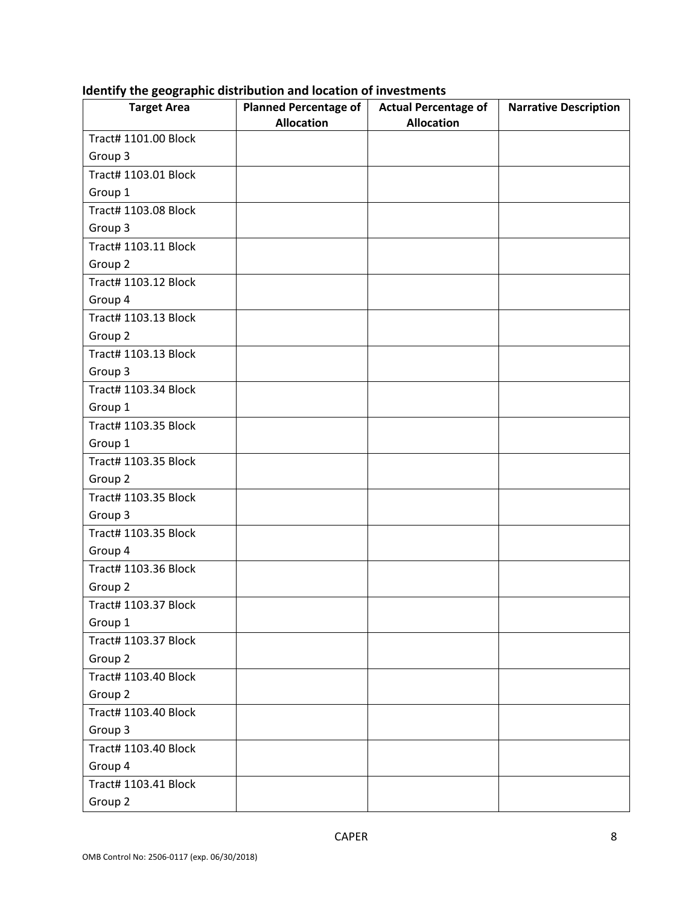| <b>Target Area</b>          | Planned Percentage of | <b>Actual Percentage of</b> | <b>Narrative Description</b> |
|-----------------------------|-----------------------|-----------------------------|------------------------------|
| Tract# 1101.00 Block        | <b>Allocation</b>     | <b>Allocation</b>           |                              |
| Group 3                     |                       |                             |                              |
| Tract# 1103.01 Block        |                       |                             |                              |
| Group 1                     |                       |                             |                              |
| Tract# 1103.08 Block        |                       |                             |                              |
| Group 3                     |                       |                             |                              |
| Tract# 1103.11 Block        |                       |                             |                              |
| Group 2                     |                       |                             |                              |
| Tract# 1103.12 Block        |                       |                             |                              |
| Group 4                     |                       |                             |                              |
| Tract# 1103.13 Block        |                       |                             |                              |
| Group 2                     |                       |                             |                              |
| Tract# 1103.13 Block        |                       |                             |                              |
| Group 3                     |                       |                             |                              |
| Tract# 1103.34 Block        |                       |                             |                              |
| Group 1                     |                       |                             |                              |
| Tract# 1103.35 Block        |                       |                             |                              |
| Group 1                     |                       |                             |                              |
| Tract# 1103.35 Block        |                       |                             |                              |
| Group 2                     |                       |                             |                              |
| Tract# 1103.35 Block        |                       |                             |                              |
| Group 3                     |                       |                             |                              |
| Tract# 1103.35 Block        |                       |                             |                              |
| Group 4                     |                       |                             |                              |
| <b>Tract# 1103.36 Block</b> |                       |                             |                              |
| Group 2                     |                       |                             |                              |
| Tract# 1103.37 Block        |                       |                             |                              |
| Group 1                     |                       |                             |                              |
| Tract# 1103.37 Block        |                       |                             |                              |
| Group 2                     |                       |                             |                              |
| Tract# 1103.40 Block        |                       |                             |                              |
| Group 2                     |                       |                             |                              |
| Tract# 1103.40 Block        |                       |                             |                              |
| Group 3                     |                       |                             |                              |
| Tract# 1103.40 Block        |                       |                             |                              |
| Group 4                     |                       |                             |                              |
| Tract# 1103.41 Block        |                       |                             |                              |
| Group 2                     |                       |                             |                              |

#### **Identify the geographic distribution and location of investments**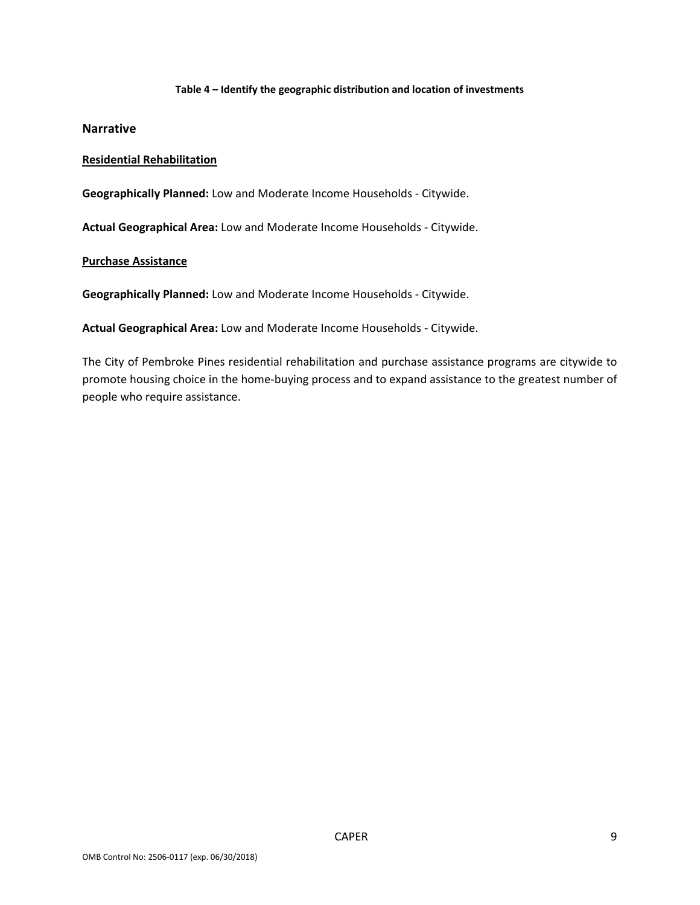#### **Table 4 – Identify the geographic distribution and location of investments**

#### **Narrative**

#### **Residential Rehabilitation**

**Geographically Planned:** Low and Moderate Income Households ‐ Citywide.

**Actual Geographical Area:** Low and Moderate Income Households ‐ Citywide.

#### **Purchase Assistance**

**Geographically Planned:** Low and Moderate Income Households ‐ Citywide.

**Actual Geographical Area:** Low and Moderate Income Households ‐ Citywide.

The City of Pembroke Pines residential rehabilitation and purchase assistance programs are citywide to promote housing choice in the home‐buying process and to expand assistance to the greatest number of people who require assistance.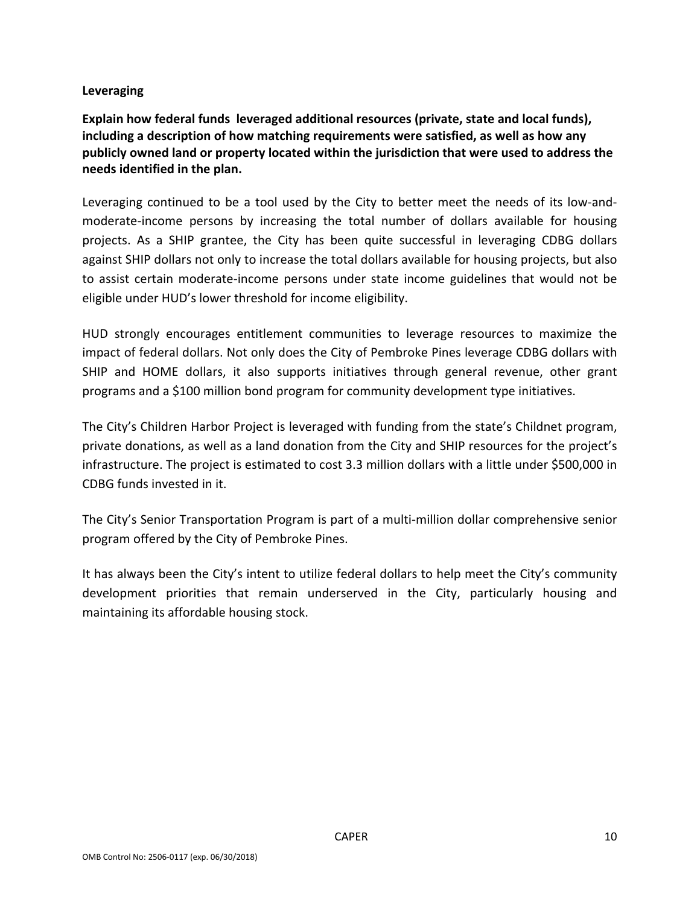#### **Leveraging**

**Explain how federal funds leveraged additional resources (private, state and local funds), including a description of how matching requirements were satisfied, as well as how any publicly owned land or property located within the jurisdiction that were used to address the needs identified in the plan.**

Leveraging continued to be a tool used by the City to better meet the needs of its low‐and‐ moderate‐income persons by increasing the total number of dollars available for housing projects. As a SHIP grantee, the City has been quite successful in leveraging CDBG dollars against SHIP dollars not only to increase the total dollars available for housing projects, but also to assist certain moderate‐income persons under state income guidelines that would not be eligible under HUD's lower threshold for income eligibility.

HUD strongly encourages entitlement communities to leverage resources to maximize the impact of federal dollars. Not only does the City of Pembroke Pines leverage CDBG dollars with SHIP and HOME dollars, it also supports initiatives through general revenue, other grant programs and a \$100 million bond program for community development type initiatives.

The City's Children Harbor Project is leveraged with funding from the state's Childnet program, private donations, as well as a land donation from the City and SHIP resources for the project's infrastructure. The project is estimated to cost 3.3 million dollars with a little under \$500,000 in CDBG funds invested in it.

The City's Senior Transportation Program is part of a multi‐million dollar comprehensive senior program offered by the City of Pembroke Pines.

It has always been the City's intent to utilize federal dollars to help meet the City's community development priorities that remain underserved in the City, particularly housing and maintaining its affordable housing stock.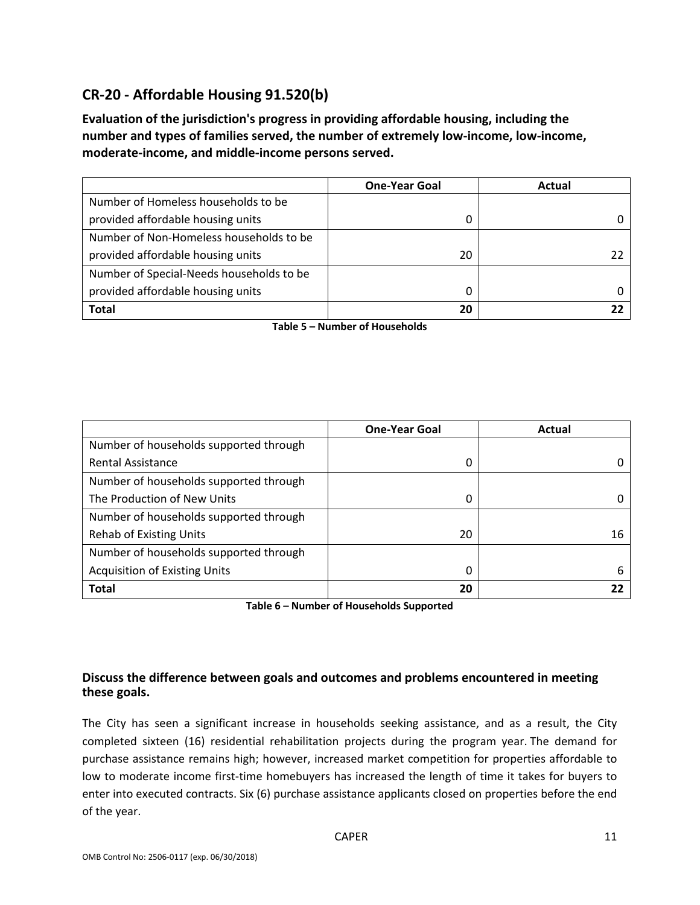## **CR‐20 ‐ Affordable Housing 91.520(b)**

**Evaluation of the jurisdiction's progress in providing affordable housing, including the number and types of families served, the number of extremely low‐income, low‐income, moderate‐income, and middle‐income persons served.**

|                                          | <b>One-Year Goal</b> | Actual |
|------------------------------------------|----------------------|--------|
| Number of Homeless households to be      |                      |        |
| provided affordable housing units        |                      |        |
| Number of Non-Homeless households to be  |                      |        |
| provided affordable housing units        | 20                   |        |
| Number of Special-Needs households to be |                      |        |
| provided affordable housing units        | 0                    |        |
| <b>Total</b>                             | 20                   |        |

**Table 5 – Number of Households**

|                                        | <b>One-Year Goal</b> | Actual |
|----------------------------------------|----------------------|--------|
| Number of households supported through |                      |        |
| <b>Rental Assistance</b>               | 0                    |        |
| Number of households supported through |                      |        |
| The Production of New Units            | 0                    |        |
| Number of households supported through |                      |        |
| <b>Rehab of Existing Units</b>         | 20                   | 16     |
| Number of households supported through |                      |        |
| <b>Acquisition of Existing Units</b>   | 0                    | h      |
| <b>Total</b>                           | 20                   |        |

**Table 6 – Number of Households Supported**

#### **Discuss the difference between goals and outcomes and problems encountered in meeting these goals.**

The City has seen a significant increase in households seeking assistance, and as a result, the City completed sixteen (16) residential rehabilitation projects during the program year. The demand for purchase assistance remains high; however, increased market competition for properties affordable to low to moderate income first-time homebuyers has increased the length of time it takes for buyers to enter into executed contracts. Six (6) purchase assistance applicants closed on properties before the end of the year.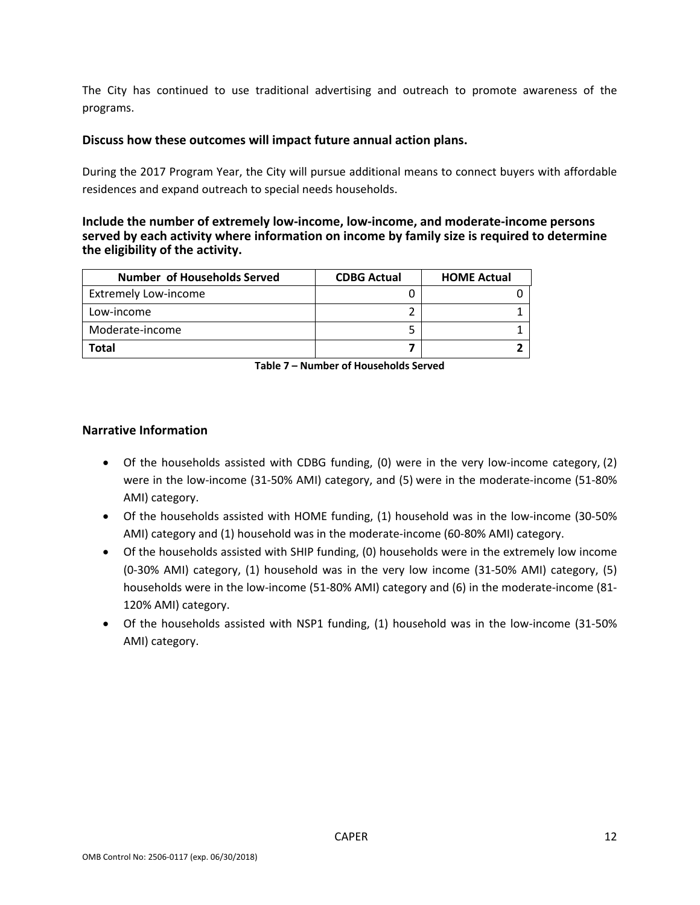The City has continued to use traditional advertising and outreach to promote awareness of the programs.

#### **Discuss how these outcomes will impact future annual action plans.**

During the 2017 Program Year, the City will pursue additional means to connect buyers with affordable residences and expand outreach to special needs households.

#### **Include the number of extremely low‐income, low‐income, and moderate‐income persons served by each activity where information on income by family size is required to determine the eligibility of the activity.**

| <b>Number of Households Served</b> | <b>CDBG Actual</b> | <b>HOME Actual</b> |
|------------------------------------|--------------------|--------------------|
| <b>Extremely Low-income</b>        |                    |                    |
| Low-income                         |                    |                    |
| Moderate-income                    |                    |                    |
| Total                              |                    |                    |

**Table 7 – Number of Households Served**

#### **Narrative Information**

- Of the households assisted with CDBG funding, (0) were in the very low-income category, (2) were in the low-income (31-50% AMI) category, and (5) were in the moderate-income (51-80% AMI) category.
- Of the households assisted with HOME funding, (1) household was in the low‐income (30‐50% AMI) category and (1) household was in the moderate‐income (60‐80% AMI) category.
- Of the households assisted with SHIP funding, (0) households were in the extremely low income (0‐30% AMI) category, (1) household was in the very low income (31‐50% AMI) category, (5) households were in the low-income (51-80% AMI) category and (6) in the moderate-income (81-120% AMI) category.
- Of the households assisted with NSP1 funding, (1) household was in the low‐income (31‐50% AMI) category.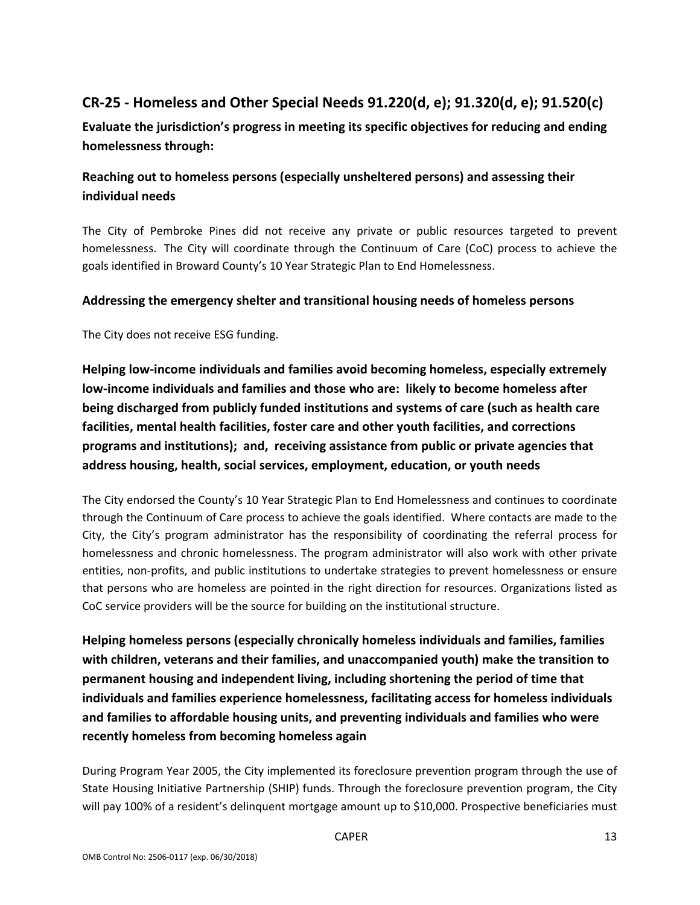## **CR‐25 ‐ Homeless and Other Special Needs 91.220(d, e); 91.320(d, e); 91.520(c)**

**Evaluate the jurisdiction's progress in meeting its specific objectives for reducing and ending homelessness through:**

## **Reaching out to homeless persons (especially unsheltered persons) and assessing their individual needs**

The City of Pembroke Pines did not receive any private or public resources targeted to prevent homelessness. The City will coordinate through the Continuum of Care (CoC) process to achieve the goals identified in Broward County's 10 Year Strategic Plan to End Homelessness.

#### **Addressing the emergency shelter and transitional housing needs of homeless persons**

The City does not receive ESG funding.

**Helping low‐income individuals and families avoid becoming homeless, especially extremely low‐income individuals and families and those who are: likely to become homeless after being discharged from publicly funded institutions and systems of care (such as health care facilities, mental health facilities, foster care and other youth facilities, and corrections programs and institutions); and, receiving assistance from public or private agencies that address housing, health, social services, employment, education, or youth needs**

The City endorsed the County's 10 Year Strategic Plan to End Homelessness and continues to coordinate through the Continuum of Care process to achieve the goals identified. Where contacts are made to the City, the City's program administrator has the responsibility of coordinating the referral process for homelessness and chronic homelessness. The program administrator will also work with other private entities, non‐profits, and public institutions to undertake strategies to prevent homelessness or ensure that persons who are homeless are pointed in the right direction for resources. Organizations listed as CoC service providers will be the source for building on the institutional structure.

**Helping homeless persons (especially chronically homeless individuals and families, families with children, veterans and their families, and unaccompanied youth) make the transition to permanent housing and independent living, including shortening the period of time that individuals and families experience homelessness, facilitating access for homeless individuals and families to affordable housing units, and preventing individuals and families who were recently homeless from becoming homeless again**

During Program Year 2005, the City implemented its foreclosure prevention program through the use of State Housing Initiative Partnership (SHIP) funds. Through the foreclosure prevention program, the City will pay 100% of a resident's delinquent mortgage amount up to \$10,000. Prospective beneficiaries must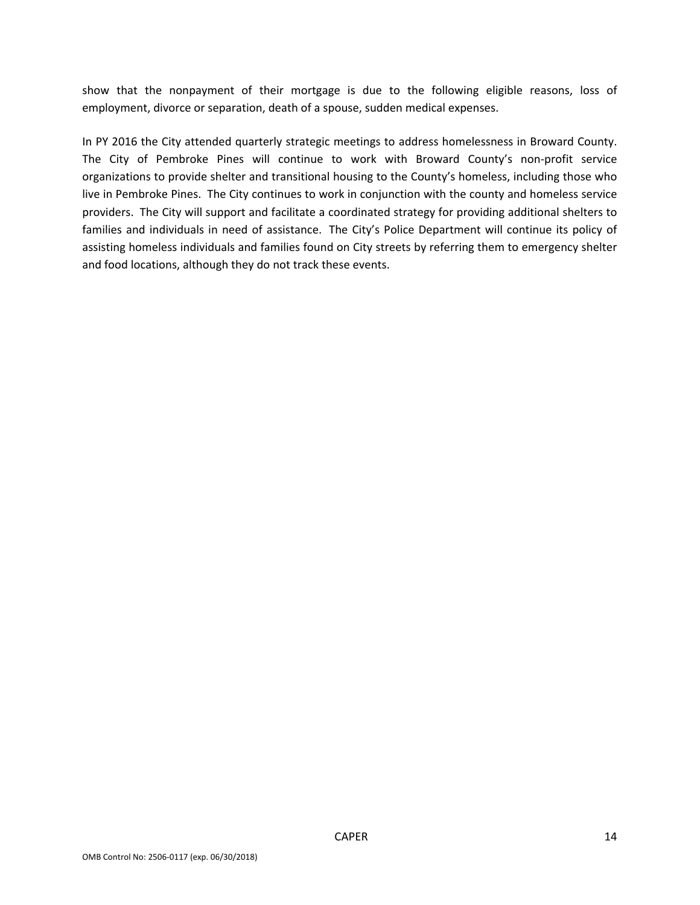show that the nonpayment of their mortgage is due to the following eligible reasons, loss of employment, divorce or separation, death of a spouse, sudden medical expenses.

In PY 2016 the City attended quarterly strategic meetings to address homelessness in Broward County. The City of Pembroke Pines will continue to work with Broward County's non-profit service organizations to provide shelter and transitional housing to the County's homeless, including those who live in Pembroke Pines. The City continues to work in conjunction with the county and homeless service providers. The City will support and facilitate a coordinated strategy for providing additional shelters to families and individuals in need of assistance. The City's Police Department will continue its policy of assisting homeless individuals and families found on City streets by referring them to emergency shelter and food locations, although they do not track these events.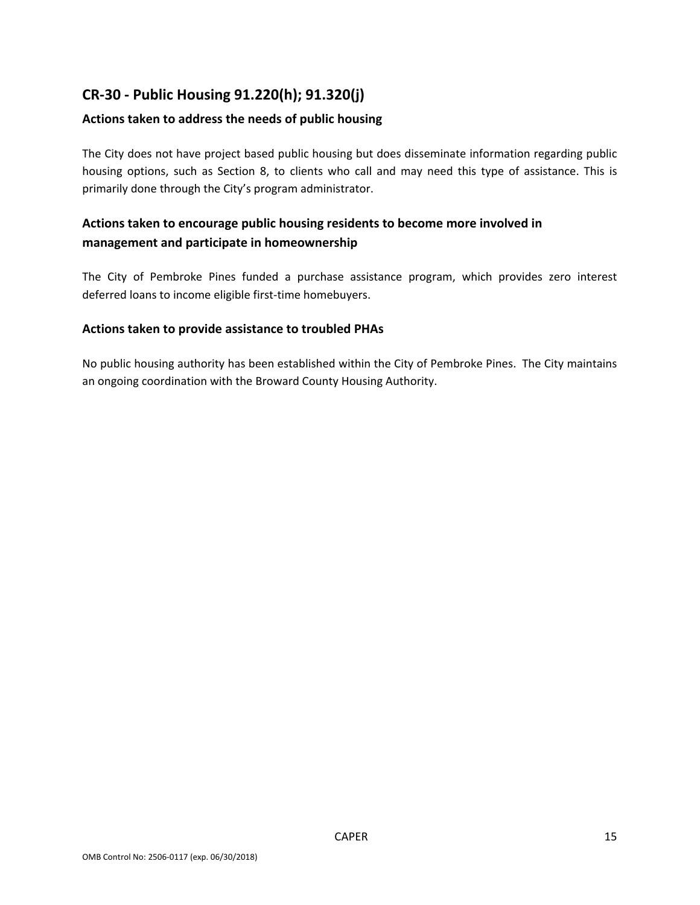## **CR‐30 ‐ Public Housing 91.220(h); 91.320(j)**

#### **Actions taken to address the needs of public housing**

The City does not have project based public housing but does disseminate information regarding public housing options, such as Section 8, to clients who call and may need this type of assistance. This is primarily done through the City's program administrator.

## **Actions taken to encourage public housing residents to become more involved in management and participate in homeownership**

The City of Pembroke Pines funded a purchase assistance program, which provides zero interest deferred loans to income eligible first‐time homebuyers.

#### **Actions taken to provide assistance to troubled PHAs**

No public housing authority has been established within the City of Pembroke Pines. The City maintains an ongoing coordination with the Broward County Housing Authority.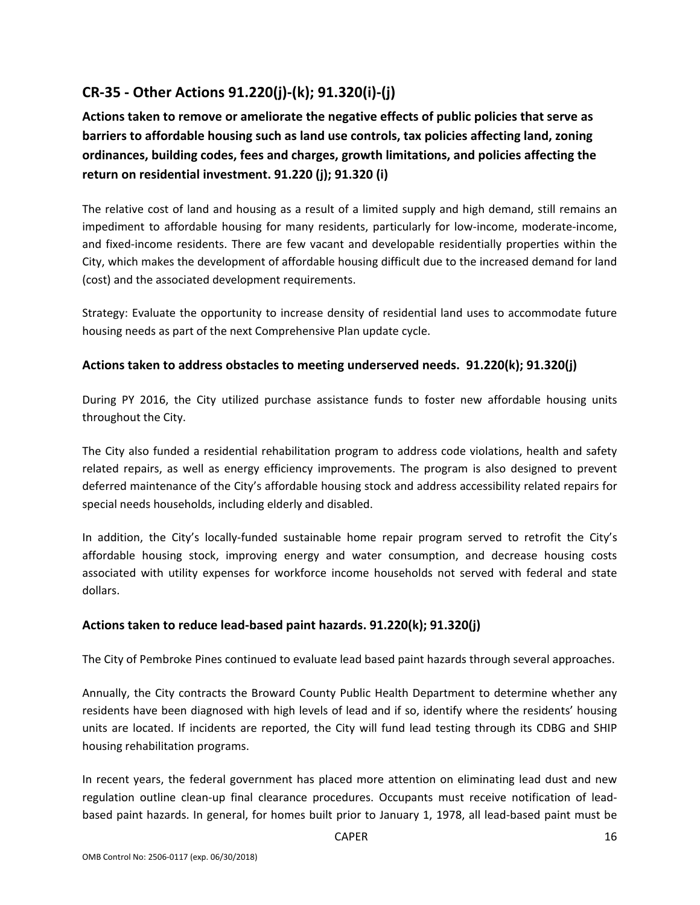## **CR‐35 ‐ Other Actions 91.220(j)‐(k); 91.320(i)‐(j)**

**Actions taken to remove or ameliorate the negative effects of public policies that serve as barriers to affordable housing such as land use controls, tax policies affecting land, zoning ordinances, building codes, fees and charges, growth limitations, and policies affecting the return on residential investment. 91.220 (j); 91.320 (i)**

The relative cost of land and housing as a result of a limited supply and high demand, still remains an impediment to affordable housing for many residents, particularly for low-income, moderate-income, and fixed-income residents. There are few vacant and developable residentially properties within the City, which makes the development of affordable housing difficult due to the increased demand for land (cost) and the associated development requirements.

Strategy: Evaluate the opportunity to increase density of residential land uses to accommodate future housing needs as part of the next Comprehensive Plan update cycle.

#### **Actions taken to address obstacles to meeting underserved needs. 91.220(k); 91.320(j)**

During PY 2016, the City utilized purchase assistance funds to foster new affordable housing units throughout the City.

The City also funded a residential rehabilitation program to address code violations, health and safety related repairs, as well as energy efficiency improvements. The program is also designed to prevent deferred maintenance of the City's affordable housing stock and address accessibility related repairs for special needs households, including elderly and disabled.

In addition, the City's locally-funded sustainable home repair program served to retrofit the City's affordable housing stock, improving energy and water consumption, and decrease housing costs associated with utility expenses for workforce income households not served with federal and state dollars.

#### **Actions taken to reduce lead‐based paint hazards. 91.220(k); 91.320(j)**

The City of Pembroke Pines continued to evaluate lead based paint hazards through several approaches.

Annually, the City contracts the Broward County Public Health Department to determine whether any residents have been diagnosed with high levels of lead and if so, identify where the residents' housing units are located. If incidents are reported, the City will fund lead testing through its CDBG and SHIP housing rehabilitation programs.

In recent years, the federal government has placed more attention on eliminating lead dust and new regulation outline clean‐up final clearance procedures. Occupants must receive notification of lead‐ based paint hazards. In general, for homes built prior to January 1, 1978, all lead‐based paint must be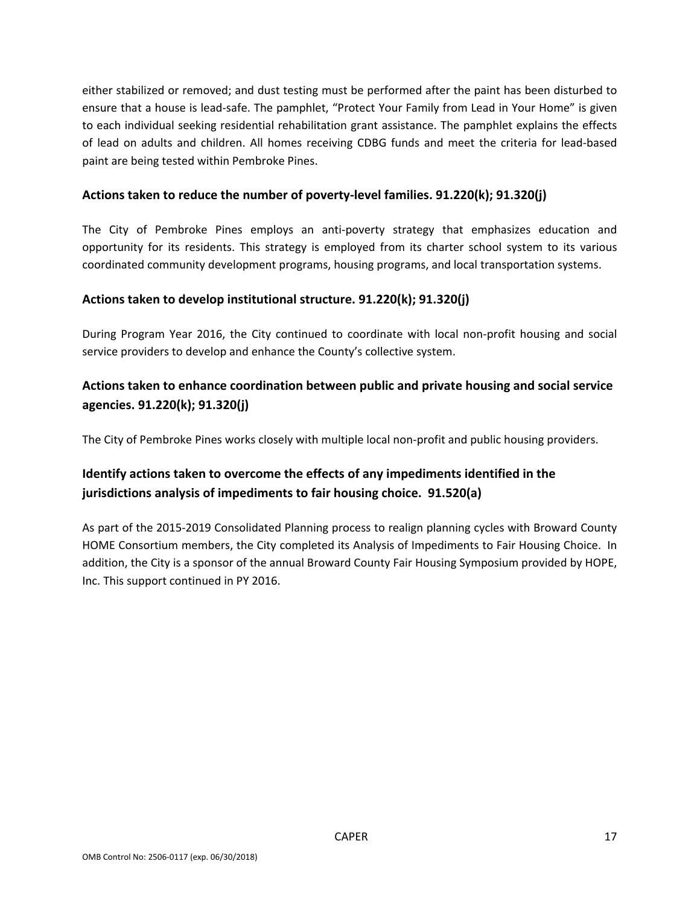either stabilized or removed; and dust testing must be performed after the paint has been disturbed to ensure that a house is lead‐safe. The pamphlet, "Protect Your Family from Lead in Your Home" is given to each individual seeking residential rehabilitation grant assistance. The pamphlet explains the effects of lead on adults and children. All homes receiving CDBG funds and meet the criteria for lead‐based paint are being tested within Pembroke Pines.

#### **Actions taken to reduce the number of poverty‐level families. 91.220(k); 91.320(j)**

The City of Pembroke Pines employs an anti-poverty strategy that emphasizes education and opportunity for its residents. This strategy is employed from its charter school system to its various coordinated community development programs, housing programs, and local transportation systems.

#### **Actions taken to develop institutional structure. 91.220(k); 91.320(j)**

During Program Year 2016, the City continued to coordinate with local non‐profit housing and social service providers to develop and enhance the County's collective system.

## **Actions taken to enhance coordination between public and private housing and social service agencies. 91.220(k); 91.320(j)**

The City of Pembroke Pines works closely with multiple local non‐profit and public housing providers.

## **Identify actions taken to overcome the effects of any impediments identified in the jurisdictions analysis of impediments to fair housing choice. 91.520(a)**

As part of the 2015‐2019 Consolidated Planning process to realign planning cycles with Broward County HOME Consortium members, the City completed its Analysis of Impediments to Fair Housing Choice. In addition, the City is a sponsor of the annual Broward County Fair Housing Symposium provided by HOPE, Inc. This support continued in PY 2016.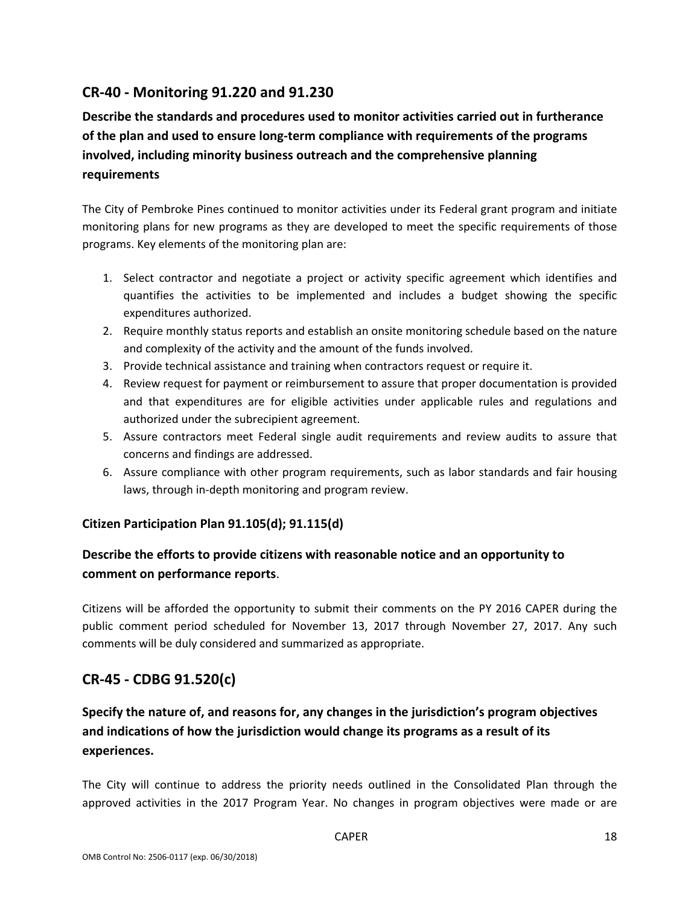## **CR‐40 ‐ Monitoring 91.220 and 91.230**

## **Describe the standards and procedures used to monitor activities carried out in furtherance of the plan and used to ensure long‐term compliance with requirements of the programs involved, including minority business outreach and the comprehensive planning requirements**

The City of Pembroke Pines continued to monitor activities under its Federal grant program and initiate monitoring plans for new programs as they are developed to meet the specific requirements of those programs. Key elements of the monitoring plan are:

- 1. Select contractor and negotiate a project or activity specific agreement which identifies and quantifies the activities to be implemented and includes a budget showing the specific expenditures authorized.
- 2. Require monthly status reports and establish an onsite monitoring schedule based on the nature and complexity of the activity and the amount of the funds involved.
- 3. Provide technical assistance and training when contractors request or require it.
- 4. Review request for payment or reimbursement to assure that proper documentation is provided and that expenditures are for eligible activities under applicable rules and regulations and authorized under the subrecipient agreement.
- 5. Assure contractors meet Federal single audit requirements and review audits to assure that concerns and findings are addressed.
- 6. Assure compliance with other program requirements, such as labor standards and fair housing laws, through in‐depth monitoring and program review.

#### **Citizen Participation Plan 91.105(d); 91.115(d)**

## **Describe the efforts to provide citizens with reasonable notice and an opportunity to comment on performance reports**.

Citizens will be afforded the opportunity to submit their comments on the PY 2016 CAPER during the public comment period scheduled for November 13, 2017 through November 27, 2017. Any such comments will be duly considered and summarized as appropriate.

## **CR‐45 ‐ CDBG 91.520(c)**

## **Specify the nature of, and reasons for, any changes in the jurisdiction's program objectives and indications of how the jurisdiction would change its programs as a result of its experiences.**

The City will continue to address the priority needs outlined in the Consolidated Plan through the approved activities in the 2017 Program Year. No changes in program objectives were made or are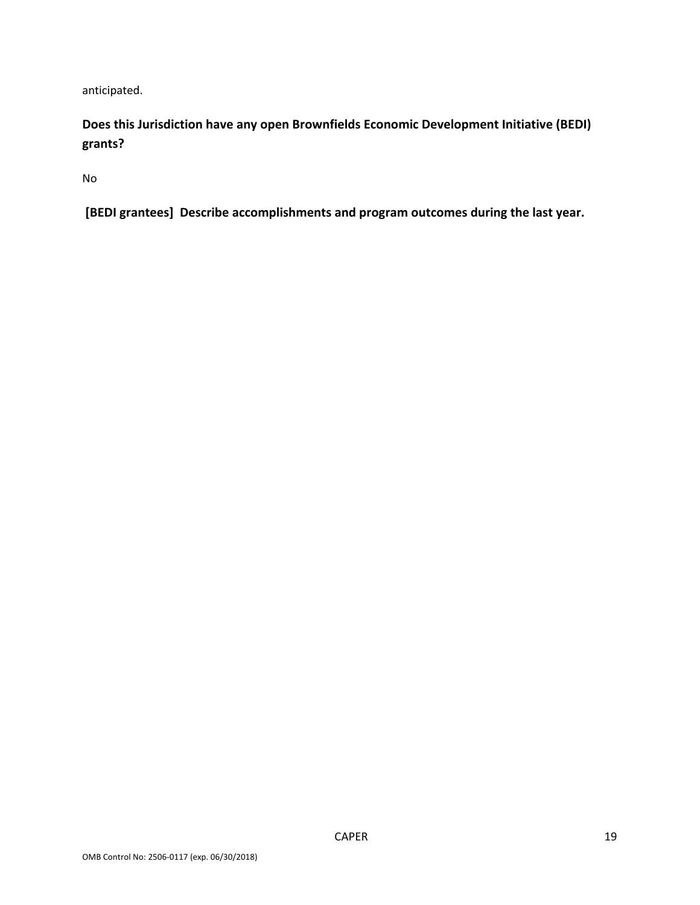anticipated.

**Does this Jurisdiction have any open Brownfields Economic Development Initiative (BEDI) grants?**

No

**[BEDI grantees] Describe accomplishments and program outcomes during the last year.**